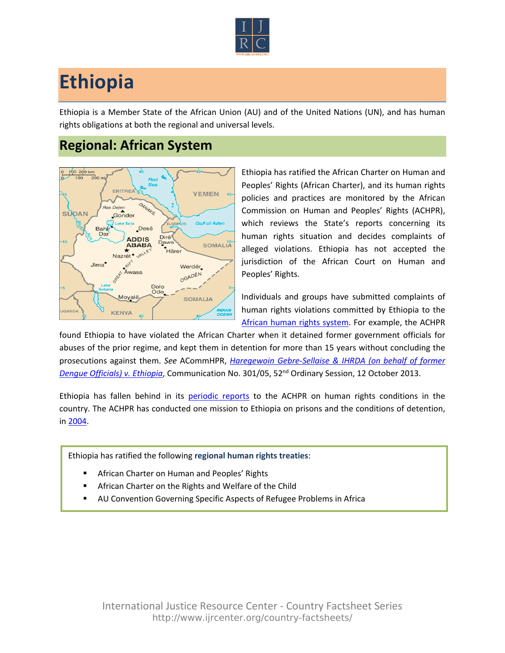

## **Ethiopia**

Ethiopia is a Member State of the African Union (AU) and of the United Nations (UN), and has human rights obligations at both the regional and universal levels.

## **Regional: African System**



Ethiopia has ratified the African Charter on Human and Peoples' Rights (African Charter), and its human rights policies and practices are monitored by the African Commission on Human and Peoples' Rights (ACHPR), which reviews the State's reports concerning its human rights situation and decides complaints of alleged violations. Ethiopia has not accepted the jurisdiction of the African Court on Human and Peoples' Rights.

Individuals and groups have submitted complaints of human rights violations committed by Ethiopia to the [African human rights system.](http://www.ijrcenter.org/regional/african/) For example, the ACHPR

found Ethiopia to have violated the African Charter when it detained former government officials for abuses of the prior regime, and kept them in detention for more than 15 years without concluding the prosecutions against them. *See* ACommHPR, *[Haregewoin Gebre-Sellaise & IHRDA \(on behalf of former](http://www.achpr.org/communications/decision/301.05/)  [Dengue Officials\) v. Ethiopia](http://www.achpr.org/communications/decision/301.05/)*, Communication No. 301/05, 52nd Ordinary Session, 12 October 2013.

Ethiopia has fallen behind in its [periodic reports](http://www.achpr.org/states/ethiopia/) to the ACHPR on human rights conditions in the country. The ACHPR has conducted one mission to Ethiopia on prisons and the conditions of detention, in [2004](http://www.achpr.org/states/ethiopia/missions/prisons-2004/).

Ethiopia has ratified the following **regional human rights treaties**:

- African Charter on Human and Peoples' Rights
- African Charter on the Rights and Welfare of the Child
- AU Convention Governing Specific Aspects of Refugee Problems in Africa